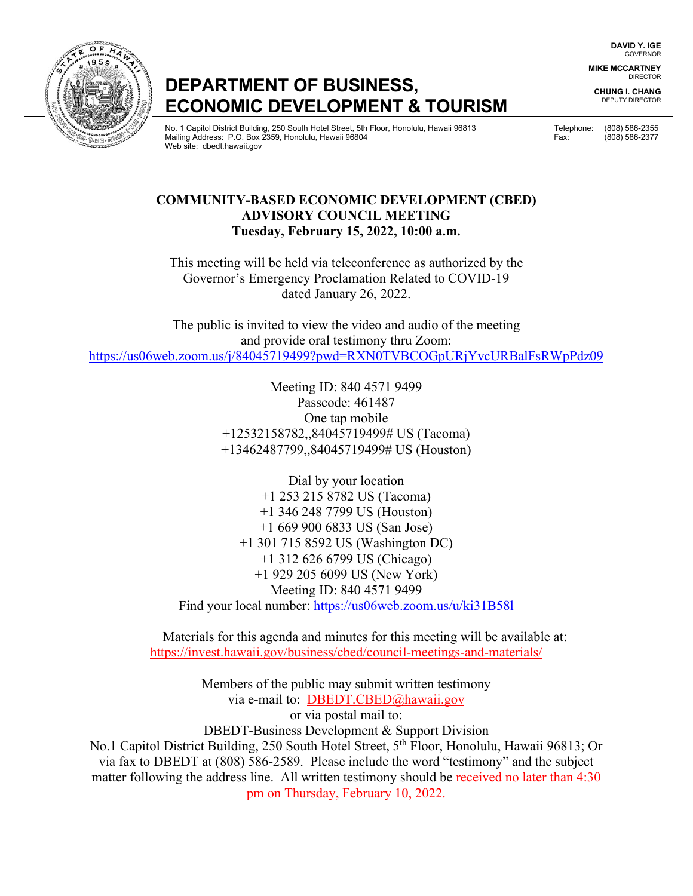**DAVID Y. IGE** GOVERNOR

**MIKE MCCARTNEY** DIRECTOR

**CHUNG I. CHANG** DEPUTY DIRECTOR

## **ECONOMIC DEVELOPMENT & TOURISM**

No. 1 Capitol District Building, 250 South Hotel Street, 5th Floor, Honolulu, Hawaii 96813 Telephone: (808) 586-2355<br>Mailing Address: P.O. Box 2359, Honolulu, Hawaii 96804 Telephone: (808) 586-2377 Mailing Address: P.O. Box 2359, Honolulu, Hawaii 96804 Web site: dbedt.hawaii.gov

### **COMMUNITY-BASED ECONOMIC DEVELOPMENT (CBED) ADVISORY COUNCIL MEETING Tuesday, February 15, 2022, 10:00 a.m.**

This meeting will be held via teleconference as authorized by the Governor's Emergency Proclamation Related to COVID-19 dated January 26, 2022.

The public is invited to view the video and audio of the meeting and provide oral testimony thru Zoom: <https://us06web.zoom.us/j/84045719499?pwd=RXN0TVBCOGpURjYvcURBalFsRWpPdz09>

> Meeting ID: 840 4571 9499 Passcode: 461487 One tap mobile +12532158782,,84045719499# US (Tacoma) +13462487799,,84045719499# US (Houston)

Dial by your location +1 253 215 8782 US (Tacoma) +1 346 248 7799 US (Houston) +1 669 900 6833 US (San Jose) +1 301 715 8592 US (Washington DC) +1 312 626 6799 US (Chicago) +1 929 205 6099 US (New York) Meeting ID: 840 4571 9499 Find your local number:<https://us06web.zoom.us/u/ki31B58l>

Materials for this agenda and minutes for this meeting will be available at: https://invest.hawaii.gov/business/cbed/council-meetings-and-materials/

Members of the public may submit written testimony via e-mail to: DBEDT.CBED@hawaii.gov or via postal mail to: DBEDT-Business Development & Support Division No.1 Capitol District Building, 250 South Hotel Street, 5<sup>th</sup> Floor, Honolulu, Hawaii 96813; Or via fax to DBEDT at (808) 586-2589. Please include the word "testimony" and the subject matter following the address line. All written testimony should be received no later than 4:30 pm on Thursday, February 10, 2022.

# **DEPARTMENT OF BUSINESS,**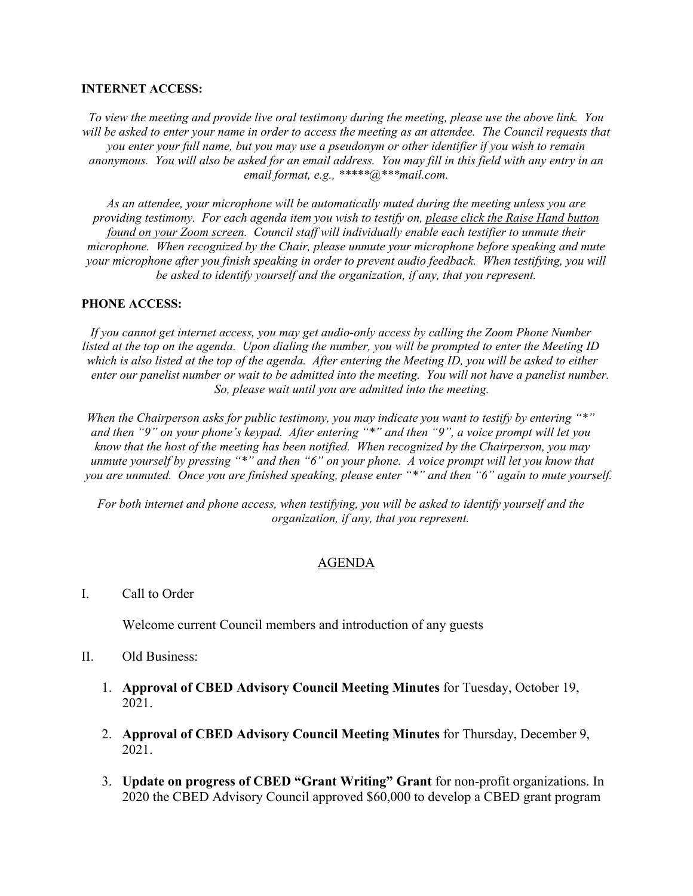#### **INTERNET ACCESS:**

*To view the meeting and provide live oral testimony during the meeting, please use the above link. You will be asked to enter your name in order to access the meeting as an attendee. The Council requests that you enter your full name, but you may use a pseudonym or other identifier if you wish to remain anonymous. You will also be asked for an email address. You may fill in this field with any entry in an email format, e.g., \*\*\*\*\*@\*\*\*mail.com.*

*As an attendee, your microphone will be automatically muted during the meeting unless you are providing testimony. For each agenda item you wish to testify on, please click the Raise Hand button found on your Zoom screen. Council staff will individually enable each testifier to unmute their microphone. When recognized by the Chair, please unmute your microphone before speaking and mute your microphone after you finish speaking in order to prevent audio feedback. When testifying, you will be asked to identify yourself and the organization, if any, that you represent.* 

#### **PHONE ACCESS:**

*If you cannot get internet access, you may get audio-only access by calling the Zoom Phone Number listed at the top on the agenda. Upon dialing the number, you will be prompted to enter the Meeting ID which is also listed at the top of the agenda. After entering the Meeting ID, you will be asked to either enter our panelist number or wait to be admitted into the meeting. You will not have a panelist number. So, please wait until you are admitted into the meeting.*

*When the Chairperson asks for public testimony, you may indicate you want to testify by entering "\*" and then "9" on your phone's keypad. After entering "\*" and then "9", a voice prompt will let you know that the host of the meeting has been notified. When recognized by the Chairperson, you may unmute yourself by pressing "\*" and then "6" on your phone. A voice prompt will let you know that you are unmuted. Once you are finished speaking, please enter "\*" and then "6" again to mute yourself.*

*For both internet and phone access, when testifying, you will be asked to identify yourself and the organization, if any, that you represent.* 

#### AGENDA

I. Call to Order

Welcome current Council members and introduction of any guests

- II. Old Business:
	- 1. **Approval of CBED Advisory Council Meeting Minutes** for Tuesday, October 19, 2021.
	- 2. **Approval of CBED Advisory Council Meeting Minutes** for Thursday, December 9, 2021.
	- 3. **Update on progress of CBED "Grant Writing" Grant** for non-profit organizations. In 2020 the CBED Advisory Council approved \$60,000 to develop a CBED grant program